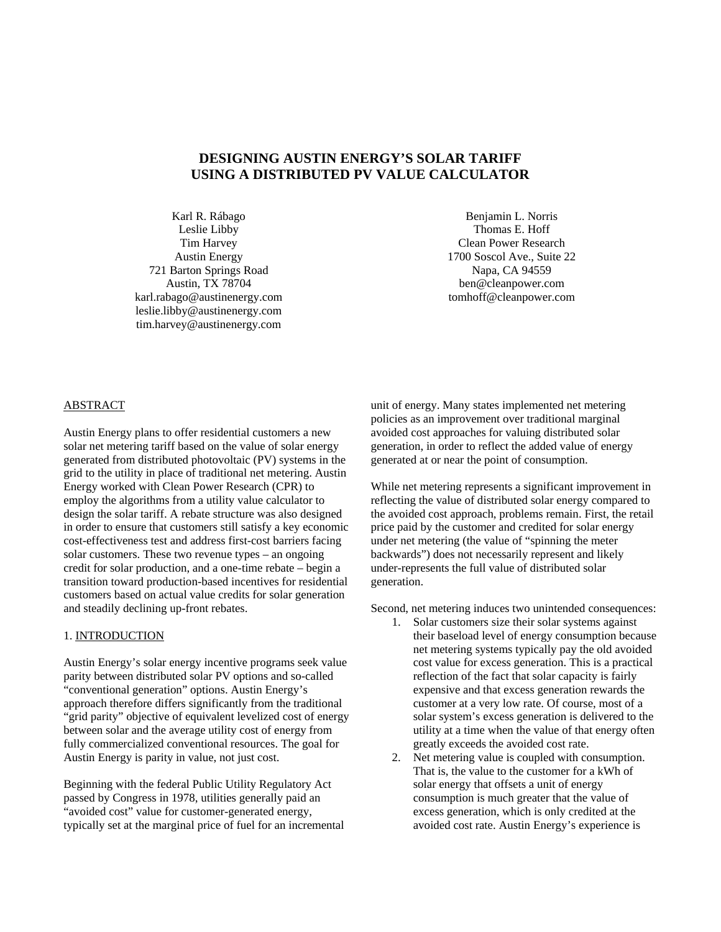# **DESIGNING AUSTIN ENERGY'S SOLAR TARIFF USING A DISTRIBUTED PV VALUE CALCULATOR**

Karl R. Rábago Leslie Libby Tim Harvey Austin Energy 721 Barton Springs Road Austin, TX 78704 karl.rabago@austinenergy.com leslie.libby@austinenergy.com tim.harvey@austinenergy.com

Benjamin L. Norris Thomas E. Hoff Clean Power Research 1700 Soscol Ave., Suite 22 Napa, CA 94559 ben@cleanpower.com tomhoff@cleanpower.com

## ABSTRACT

Austin Energy plans to offer residential customers a new solar net metering tariff based on the value of solar energy generated from distributed photovoltaic (PV) systems in the grid to the utility in place of traditional net metering. Austin Energy worked with Clean Power Research (CPR) to employ the algorithms from a utility value calculator to design the solar tariff. A rebate structure was also designed in order to ensure that customers still satisfy a key economic cost-effectiveness test and address first-cost barriers facing solar customers. These two revenue types – an ongoing credit for solar production, and a one-time rebate – begin a transition toward production-based incentives for residential customers based on actual value credits for solar generation and steadily declining up-front rebates.

## 1. INTRODUCTION

Austin Energy's solar energy incentive programs seek value parity between distributed solar PV options and so-called "conventional generation" options. Austin Energy's approach therefore differs significantly from the traditional "grid parity" objective of equivalent levelized cost of energy between solar and the average utility cost of energy from fully commercialized conventional resources. The goal for Austin Energy is parity in value, not just cost.

Beginning with the federal Public Utility Regulatory Act passed by Congress in 1978, utilities generally paid an "avoided cost" value for customer-generated energy, typically set at the marginal price of fuel for an incremental unit of energy. Many states implemented net metering policies as an improvement over traditional marginal avoided cost approaches for valuing distributed solar generation, in order to reflect the added value of energy generated at or near the point of consumption.

While net metering represents a significant improvement in reflecting the value of distributed solar energy compared to the avoided cost approach, problems remain. First, the retail price paid by the customer and credited for solar energy under net metering (the value of "spinning the meter backwards") does not necessarily represent and likely under-represents the full value of distributed solar generation.

Second, net metering induces two unintended consequences:

- 1. Solar customers size their solar systems against their baseload level of energy consumption because net metering systems typically pay the old avoided cost value for excess generation. This is a practical reflection of the fact that solar capacity is fairly expensive and that excess generation rewards the customer at a very low rate. Of course, most of a solar system's excess generation is delivered to the utility at a time when the value of that energy often greatly exceeds the avoided cost rate.
- 2. Net metering value is coupled with consumption. That is, the value to the customer for a kWh of solar energy that offsets a unit of energy consumption is much greater that the value of excess generation, which is only credited at the avoided cost rate. Austin Energy's experience is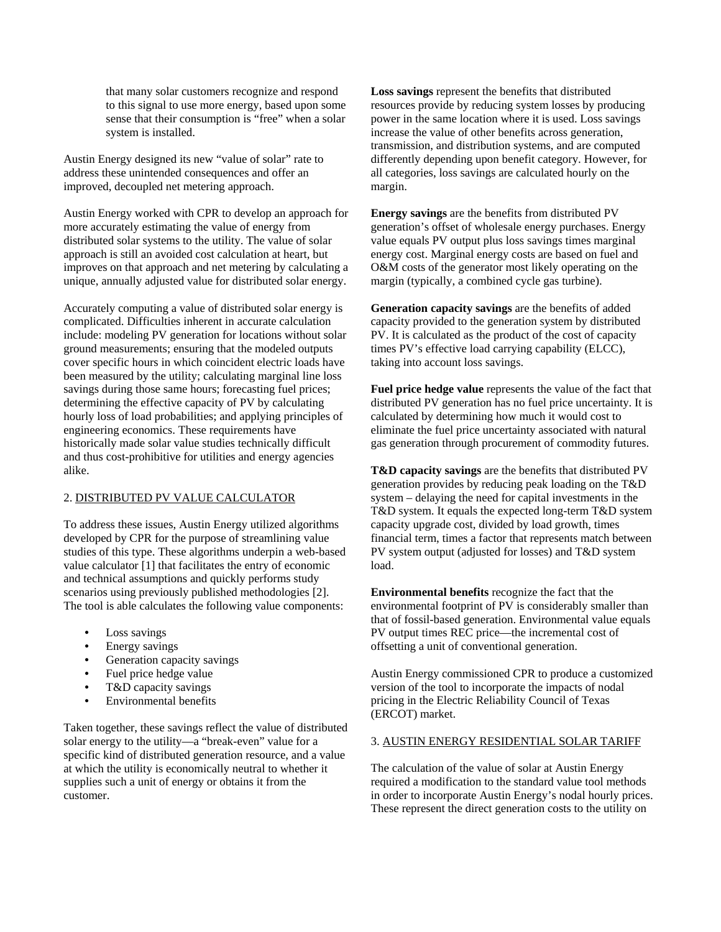that many solar customers recognize and respond to this signal to use more energy, based upon some sense that their consumption is "free" when a solar system is installed.

Austin Energy designed its new "value of solar" rate to address these unintended consequences and offer an improved, decoupled net metering approach.

Austin Energy worked with CPR to develop an approach for more accurately estimating the value of energy from distributed solar systems to the utility. The value of solar approach is still an avoided cost calculation at heart, but improves on that approach and net metering by calculating a unique, annually adjusted value for distributed solar energy.

Accurately computing a value of distributed solar energy is complicated. Difficulties inherent in accurate calculation include: modeling PV generation for locations without solar ground measurements; ensuring that the modeled outputs cover specific hours in which coincident electric loads have been measured by the utility; calculating marginal line loss savings during those same hours; forecasting fuel prices; determining the effective capacity of PV by calculating hourly loss of load probabilities; and applying principles of engineering economics. These requirements have historically made solar value studies technically difficult and thus cost-prohibitive for utilities and energy agencies alike.

# 2. DISTRIBUTED PV VALUE CALCULATOR

To address these issues, Austin Energy utilized algorithms developed by CPR for the purpose of streamlining value studies of this type. These algorithms underpin a web-based value calculator [1] that facilitates the entry of economic and technical assumptions and quickly performs study scenarios using previously published methodologies [2]. The tool is able calculates the following value components:

- Loss savings
- Energy savings
- Generation capacity savings
- Fuel price hedge value
- T&D capacity savings
- Environmental benefits

Taken together, these savings reflect the value of distributed solar energy to the utility—a "break-even" value for a specific kind of distributed generation resource, and a value at which the utility is economically neutral to whether it supplies such a unit of energy or obtains it from the customer.

**Loss savings** represent the benefits that distributed resources provide by reducing system losses by producing power in the same location where it is used. Loss savings increase the value of other benefits across generation, transmission, and distribution systems, and are computed differently depending upon benefit category. However, for all categories, loss savings are calculated hourly on the margin.

**Energy savings** are the benefits from distributed PV generation's offset of wholesale energy purchases. Energy value equals PV output plus loss savings times marginal energy cost. Marginal energy costs are based on fuel and O&M costs of the generator most likely operating on the margin (typically, a combined cycle gas turbine).

**Generation capacity savings** are the benefits of added capacity provided to the generation system by distributed PV. It is calculated as the product of the cost of capacity times PV's effective load carrying capability (ELCC), taking into account loss savings.

**Fuel price hedge value** represents the value of the fact that distributed PV generation has no fuel price uncertainty. It is calculated by determining how much it would cost to eliminate the fuel price uncertainty associated with natural gas generation through procurement of commodity futures.

**T&D capacity savings** are the benefits that distributed PV generation provides by reducing peak loading on the T&D system – delaying the need for capital investments in the T&D system. It equals the expected long-term T&D system capacity upgrade cost, divided by load growth, times financial term, times a factor that represents match between PV system output (adjusted for losses) and T&D system load.

**Environmental benefits** recognize the fact that the environmental footprint of PV is considerably smaller than that of fossil-based generation. Environmental value equals PV output times REC price—the incremental cost of offsetting a unit of conventional generation.

Austin Energy commissioned CPR to produce a customized version of the tool to incorporate the impacts of nodal pricing in the Electric Reliability Council of Texas (ERCOT) market.

#### 3. AUSTIN ENERGY RESIDENTIAL SOLAR TARIFF

The calculation of the value of solar at Austin Energy required a modification to the standard value tool methods in order to incorporate Austin Energy's nodal hourly prices. These represent the direct generation costs to the utility on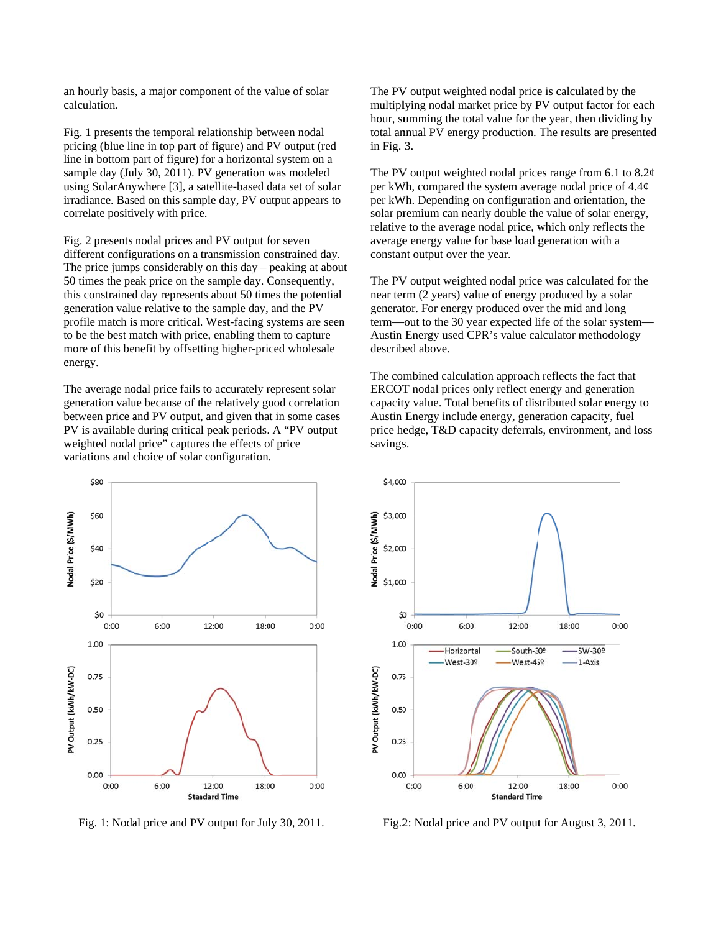an hourly basis, a major component of the value of solar c calculation.

Fig. 1 presents the temporal relationship between nodal pricing (blue line in top part of figure) and PV output (red line in bottom part of figure) for a horizontal system on a sample day (July 30, 2011). PV generation was modeled using SolarAnywhere [3], a satellite-based data set of solar irradiance. Based on this sample day, PV output appears to correlate positively with price.

Fig. 2 presents nodal prices and PV output for seven different configurations on a transmission constrained day The price jumps considerably on this day – peaking at about 50 times the peak price on the sample day. Consequently, this constrained day represents about 50 times the potential generation value relative to the sample day, and the PV profile match is more critical. West-facing systems are seen to be the best match with price, enabling them to capture more of this benefit by offsetting higher-priced wholesale e energy. to<br>y.

The average nodal price fails to accurately represent solar generation value because of the relatively good correlation between price and PV output, and given that in some cases PV is available during critical peak periods. A "PV output weighted nodal price" captures the effects of price variations and choice of solar configuration.



Fig. 1: Nodal price and PV output for July 30, 2011.

multiplying nodal market price by PV output factor for each hour, summing the total value for the year, then dividing by total annual PV energy production. The results are presented in Fig. 3. V output weighted nodal price is calculated by the

The PV<br>
multiply<br>
hour, su<br>
total an<br>
duare in Fig. 3<br>
The PV<br>
per kW<br>
solar pr<br>
relative<br>
average<br>
constan<br>
werage<br>
constan<br>
The PV<br>
mear ter<br>
generat<br>
describe<br>
The constan<br>
The PV<br>
mear ter<br>
describe<br>
The constan<br>
The c The PV output weighted nodal prices range from 6.1 to  $8.2¢$ per kWh, compared the system average nodal price of  $4.4¢$ per kWh. Depending on configuration and orientation, the solar premium can nearly double the value of solar energy, relative to the average nodal price, which only reflects the average e energy value for base load g generation with h a constant output over the year.

The PV output weighted nodal price was calculated for the near term (2 years) value of energy produced by a solar generator. For energy produced over the mid and long term—out to the 30 year expected life of the solar system— Austin Energy used CPR's value calculator methodology describ bed above.

The combined calculation approach reflects the fact that ERCOT nodal prices only reflect energy and generation capacity value. Total benefits of distributed solar energy to Austin Energy include energy, generation capacity, fuel price hedge, T&D capacity deferrals, environment, and loss savings.



Fig.2: Nodal price and PV output for August 3, 2011.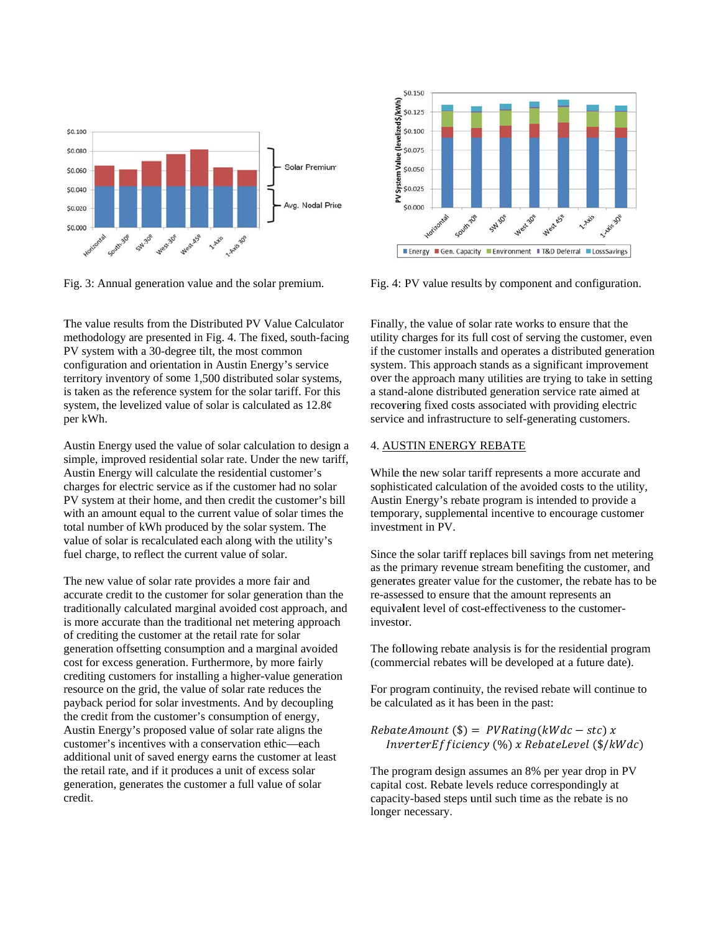

Fig. 3: Annual generation value and the solar premium.

The value results from the Distributed PV Value Calculator methodology are presented in Fig. 4. The fixed, south-facing PV system with a 30-degree tilt, the most common configuration and orientation in Austin Energy's service territory inventory of some 1,500 distributed solar systems, is taken as the reference system for the solar tariff. For this system, the levelized value of solar is calculated as  $12.8¢$ p per kWh.

A Austin Energy used the value of solar calcul lation to design n a simple, improved residential solar rate. Under the new tariff, Austin Energy will calculate the residential customer's charges for electric service as if the customer had no solar charges for electric service as if the customer had no solar<br>PV system at their home, and then credit the customer's bill with an amount equal to the current value of solar times the total number of kWh produced by the solar system. The value of solar is recalculated each along with the utility's fuel charge, to reflect the current value of solar.

The new value of solar rate provides a more fair and accurate credit to the customer for solar generation than the traditionally calculated marginal avoided cost approach, and is more accurate than the traditional net metering approach<br>of crediting the customer at the retail rate for solar<br>generation offsetting consumption and a marginal avoided of crediting the customer at the retail rate for solar generation offsetting consumption and a marginal avoided cost for excess generation. Furthermore, by more fairly crediting customers for installing a higher-value generation resource on the grid, the value of solar rate reduces the payback period for solar investments. And by decoupling th he credit from the customer's s consumption of energy, Austin Energy's proposed value of solar rate aligns the customer's incentives with a conservation ethic—each additional unit of saved energy earns the customer at least the retail rate, and if it produces a unit of excess solar generation, generates the customer a full value of solar c credit.



Fig. 4: PV value results by component and configuration.

Finally, the value of solar rate works to ensure that the utility charges for its full cost of serving the customer, even if the customer installs and operates a distributed generation system. This approach stands as a significant improvement over the approach many utilities are trying to take in setting a stand-alone distributed generation service rate aimed at recovering fixed costs associated with providing electric service and infrastructure to self-generating customers.

#### 4. AUSTIN ENERGY REBATE

While the new solar tariff represents a more accurate and sophisticated calculation of the avoided costs to the utility, Austin Energy's rebate program is intended to provide a temporary, supplemental incentive to encourage customer investm ment in PV.

Since the solar tariff replaces bill savings from net metering as the primary revenue stream benefiting the customer, and generates greater value for the customer, the rebate has to be re-assessed to ensure that the amount represents an equivalent level of cost-effectiveness to the customerinvestor.

The following rebate analysis is for the residential program (comm mercial rebates w will be develop ped at a future date).

For program continuity, the revised rebate will continue to be calculated as it has been in the past:

 $RebateAmount$  (\$) =  $PVRating(kWdc - stc)$  $batchmount$  (\$) =  $PVRating(kWdc - stc)$  x<br>InverterEfficiency (%) x RebateLevel (\$/kWdc)

The program design assumes an 8% per year drop in PV capital cost. Rebate levels reduce correspondingly at capacity-based steps until such time as the rebate is no longer necessary.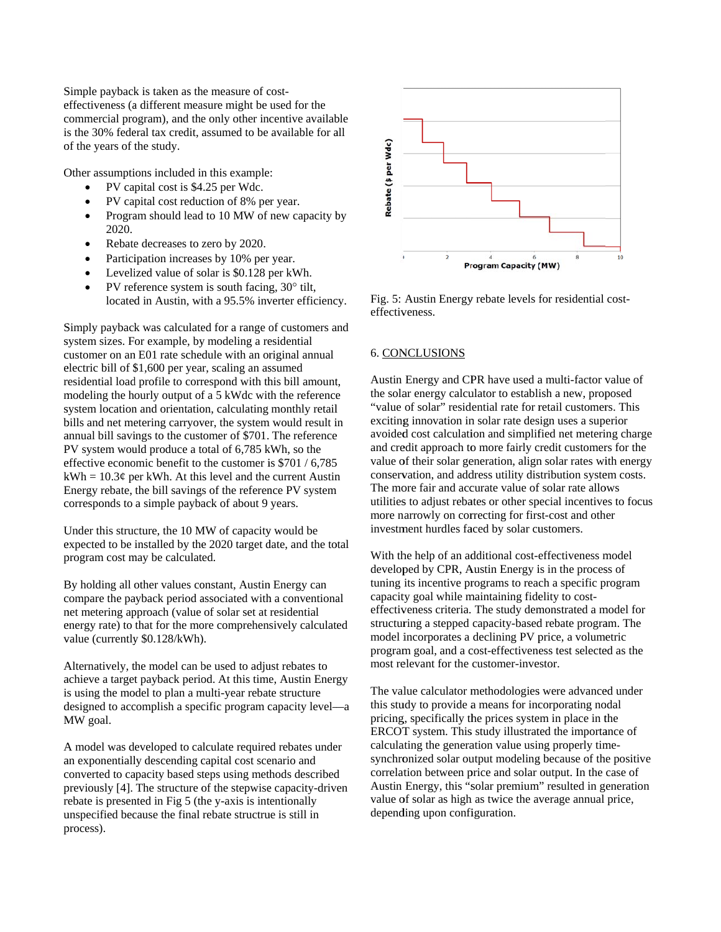Simple payback is taken as the measure of coste effectiveness (a a different mea asure might be used for the commercial program), and the only other incentive available is the 30% federal tax credit, assumed to be available for all of the years of the study.

Other assumptions included in this example:

- PV capital cost is \$4.25 per Wdc.
- PV capital cost reduction of 8% per year.
- Program should lead to 10 MW of new capacity by 2020.
- Rebate decreases to zero by 2020.
- Participation increases by 10% per year.
- Levelized value of solar is \$0.128 per kWh.
- PV reference system is south facing,  $30^\circ$  tilt, located in Austin, with a 95.5% inverter efficiency.

Simply payback was calculated for a range of customers and system sizes. For example, by modeling a residential customer on an E01 rate schedule with an original annual electric bill of \$1,600 per year, scaling an assumed residential load profile to correspond with this bill amount, modeling the hourly output of a 5 kWdc with the reference system location and orientation, calculating monthly retail modeling the hourly output of a 5 kWdc with the reference<br>system location and orientation, calculating monthly retail<br>bills and net metering carryover, the system would result in annual bill savings to the customer of \$701. The reference PV system would produce a total of 6,785 kWh, so the effective economic benefit to the customer is \$701 / 6,785  $kWh = 10.3¢$  per kWh. At this level and the current Austin Energy rebate, the bill savings of the reference PV system corresponds to a simple payback of about 9 years. kWh = 10.3¢ per kWh. At this level and the current Austin<br>Energy rebate, the bill savings of the reference PV system<br>corresponds to a simple payback of about 9 years.<br>Under this structure, the 10 MW of capacity would be<br>ex

Under this structure, the 10 MW of capacity would be program cost may be calculated.

By holding all other values constant, Austin Energy can compare the payback period associated with a conventional n net metering ap pproach (value of solar set at residential energy rate) to that for the more comprehensively calculated value (currently \$0.128/kWh).

Alternatively, the model can be used to adjust rebates to achieve a target payback period. At this time, Austin Energy is using the model to plan a multi-year rebate structure designed to accomplish a specific program capacity level—a M MW goal.

A model was developed to calculate required rebates under an exponentially descending capital cost scenario and converted to capacity based steps using methods described converted to capacity based steps using methods described<br>previously [4]. The structure of the stepwise capacity-driven rebate is presented in Fig 5 (the y-axis is intentionally unspecified because the final rebate structrue is still in p process).



Fig. 5: Austin Energy rebate levels for residential costeffectiveness.

## 6. CONCLUSIONS

Austin Energy and CPR have used a multi-factor value of the solar energy calculator to establish a new, proposed "value of solar" residential rate for retail customers. This exciting innovation in solar rate design uses a superior avoided cost calculation and simplified net metering charge and credit approach to more fairly credit customers for the value of their solar generation, align solar rates with energy conservation, and address utility distribution system costs. The more fair and accurate value of solar rate allows utilities to adjust rebates or other special incentives to focus more narrowly on correcting for first-cost and other investment hurdles faced by solar customers.

With the help of an additional cost-effectiveness model developed by CPR, Austin Energy is in the process of tuning its incentive programs to reach a specific program capacity goal while maintaining fidelity to costeffectiveness criteria. The study demonstrated a model for structuring a stepped capacity-based rebate program. The model incorporates a declining PV price, a volumetric program goal, and a cost-effectiveness test selected as the most relevant for the customer-investor.

The value calculator methodologies were advanced under this study to provide a means for incorporating nodal pricing, specifically the prices system in place in the ERCOT system. This study illustrated the importance of calculating the generation value using properly timesynchronized solar output modeling because of the positive correlation between price and solar output. In the case of Austin Energy, this "solar premium" resulted in generation value of solar as high as twice the average annual price, depending upon configuration.